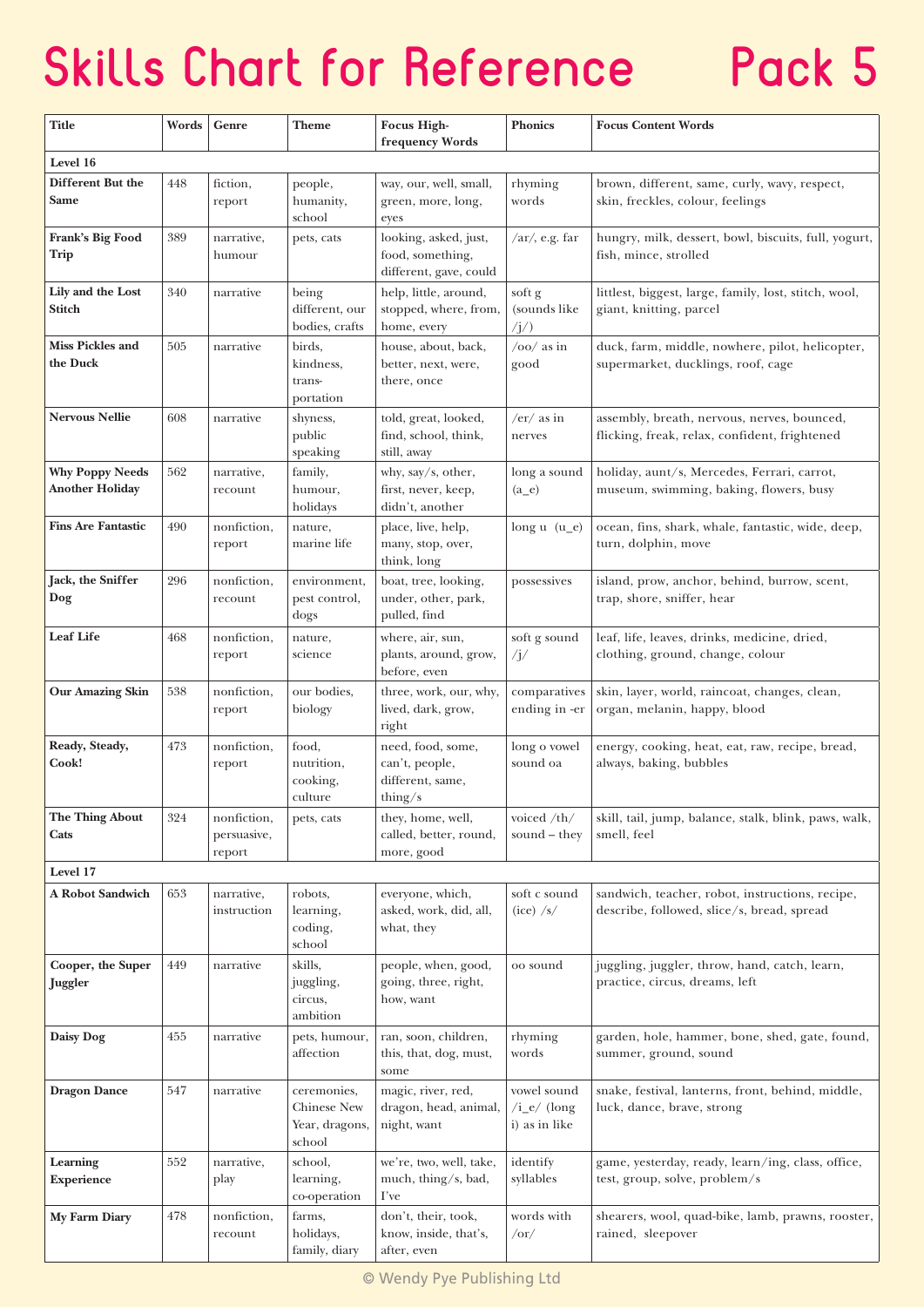## **Skills Chart for Reference** Pack 5

| Title                                            | Words | Genre                                | Theme                                                  | <b>Focus High-</b><br>frequency Words                                 | <b>Phonics</b>                                         | <b>Focus Content Words</b>                                                                    |  |  |  |  |
|--------------------------------------------------|-------|--------------------------------------|--------------------------------------------------------|-----------------------------------------------------------------------|--------------------------------------------------------|-----------------------------------------------------------------------------------------------|--|--|--|--|
| Level 16                                         |       |                                      |                                                        |                                                                       |                                                        |                                                                                               |  |  |  |  |
| Different But the<br>Same                        | 448   | fiction,<br>report                   | people,<br>humanity,<br>school                         | way, our, well, small,<br>green, more, long,<br>eyes                  | rhyming<br>words                                       | brown, different, same, curly, wavy, respect,<br>skin, freckles, colour, feelings             |  |  |  |  |
| Frank's Big Food<br>Trip                         | 389   | narrative,<br>humour                 | pets, cats                                             | looking, asked, just,<br>food, something,<br>different, gave, could   | $\sqrt{ar}$ , e.g. far                                 | hungry, milk, dessert, bowl, biscuits, full, yogurt,<br>fish, mince, strolled                 |  |  |  |  |
| Lily and the Lost<br>Stitch                      | 340   | narrative                            | being<br>different, our<br>bodies, crafts              | help, little, around,<br>stopped, where, from,<br>home, every         | soft g<br>(sounds like<br>$\langle j \rangle$          | littlest, biggest, large, family, lost, stitch, wool,<br>giant, knitting, parcel              |  |  |  |  |
| <b>Miss Pickles and</b><br>the Duck              | 505   | narrative                            | birds,<br>kindness,<br>trans-<br>portation             | house, about, back,<br>better, next, were,<br>there, once             | $/oo/$ as in<br>good                                   | duck, farm, middle, nowhere, pilot, helicopter,<br>supermarket, ducklings, roof, cage         |  |  |  |  |
| <b>Nervous Nellie</b>                            | 608   | narrative                            | shyness,<br>public<br>speaking                         | told, great, looked,<br>find, school, think,<br>still, away           | $/er/as$ in<br>nerves                                  | assembly, breath, nervous, nerves, bounced,<br>flicking, freak, relax, confident, frightened  |  |  |  |  |
| <b>Why Poppy Needs</b><br><b>Another Holiday</b> | 562   | narrative,<br>recount                | family,<br>humour,<br>holidays                         | why, say/s, other,<br>first, never, keep,<br>didn't, another          | long a sound<br>$(a_e)$                                | holiday, aunt/s, Mercedes, Ferrari, carrot,<br>museum, swimming, baking, flowers, busy        |  |  |  |  |
| <b>Fins Are Fantastic</b>                        | 490   | nonfiction,<br>report                | nature.<br>marine life                                 | place, live, help,<br>many, stop, over,<br>think, long                | long $u(u_e)$                                          | ocean, fins, shark, whale, fantastic, wide, deep,<br>turn, dolphin, move                      |  |  |  |  |
| Jack, the Sniffer<br>Dog                         | 296   | nonfiction,<br>recount               | environment,<br>pest control,<br>dogs                  | boat, tree, looking,<br>under, other, park,<br>pulled, find           | possessives                                            | island, prow, anchor, behind, burrow, scent,<br>trap, shore, sniffer, hear                    |  |  |  |  |
| <b>Leaf Life</b>                                 | 468   | nonfiction,<br>report                | nature,<br>science                                     | where, air, sun,<br>plants, around, grow,<br>before, even             | soft g sound<br>$\sqrt{j}}/$                           | leaf, life, leaves, drinks, medicine, dried,<br>clothing, ground, change, colour              |  |  |  |  |
| <b>Our Amazing Skin</b>                          | 538   | nonfiction,<br>report                | our bodies,<br>biology                                 | three, work, our, why,<br>lived, dark, grow,<br>right                 | comparatives<br>ending in -er                          | skin, layer, world, raincoat, changes, clean,<br>organ, melanin, happy, blood                 |  |  |  |  |
| Ready, Steady,<br>Cook!                          | 473   | nonfiction,<br>report                | food,<br>nutrition,<br>cooking,<br>culture             | need, food, some,<br>can't, people,<br>different, same,<br>thing/ $s$ | long o vowel<br>sound oa                               | energy, cooking, heat, eat, raw, recipe, bread,<br>always, baking, bubbles                    |  |  |  |  |
| The Thing About<br>Cats                          | 324   | nonfiction,<br>persuasive,<br>report | pets, cats                                             | they, home, well,<br>called, better, round,<br>more, good             | voiced /th/<br>sound – they                            | skill, tail, jump, balance, stalk, blink, paws, walk,<br>smell, feel                          |  |  |  |  |
| Level 17                                         |       |                                      |                                                        |                                                                       |                                                        |                                                                                               |  |  |  |  |
| <b>A Robot Sandwich</b>                          | 653   | narrative,<br>instruction            | robots,<br>learning,<br>coding,<br>school              | everyone, which,<br>asked, work, did, all,<br>what, they              | soft c sound<br>$(ice)$ /s/                            | sandwich, teacher, robot, instructions, recipe,<br>describe, followed, slice/s, bread, spread |  |  |  |  |
| Cooper, the Super<br>Juggler                     | 449   | narrative                            | skills,<br>juggling,<br>circus,<br>ambition            | people, when, good,<br>going, three, right,<br>how, want              | oo sound                                               | juggling, juggler, throw, hand, catch, learn,<br>practice, circus, dreams, left               |  |  |  |  |
| Daisy Dog                                        | 455   | narrative                            | pets, humour,<br>affection                             | ran, soon, children,<br>this, that, dog, must,<br>some                | rhyming<br>words                                       | garden, hole, hammer, bone, shed, gate, found,<br>summer, ground, sound                       |  |  |  |  |
| <b>Dragon Dance</b>                              | 547   | narrative                            | ceremonies,<br>Chinese New<br>Year, dragons,<br>school | magic, river, red,<br>dragon, head, animal,<br>night, want            | vowel sound<br>$/i_e / (\text{long})$<br>i) as in like | snake, festival, lanterns, front, behind, middle,<br>luck, dance, brave, strong               |  |  |  |  |
| Learning<br><b>Experience</b>                    | 552   | narrative,<br>play                   | school,<br>learning,<br>co-operation                   | we're, two, well, take,<br>much, thing/s, bad,<br>I've                | identify<br>syllables                                  | game, yesterday, ready, learn/ing, class, office,<br>test, group, solve, problem/s            |  |  |  |  |
| My Farm Diary                                    | 478   | nonfiction,<br>recount               | farms,<br>holidays,<br>family, diary                   | don't, their, took,<br>know, inside, that's,<br>after, even           | words with<br>$\sqrt{or}$                              | shearers, wool, quad-bike, lamb, prawns, rooster,<br>rained, sleepover                        |  |  |  |  |